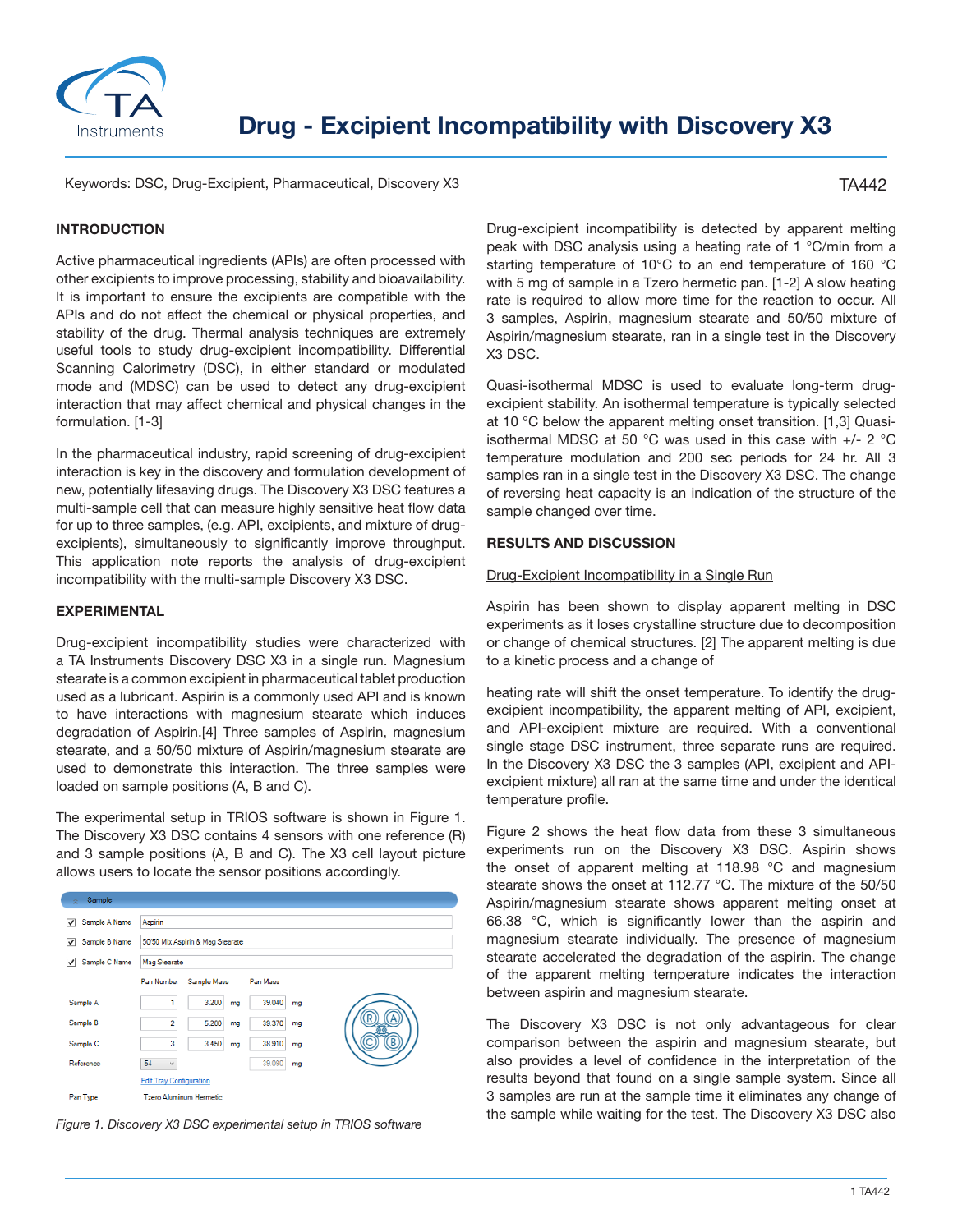

# **Drug - Excipient Incompatibility with Discovery X3**

Keywords: DSC, Drug-Excipient, Pharmaceutical, Discovery X3

## TA442

# **INTRODUCTION**

Active pharmaceutical ingredients (APIs) are often processed with other excipients to improve processing, stability and bioavailability. It is important to ensure the excipients are compatible with the APIs and do not affect the chemical or physical properties, and stability of the drug. Thermal analysis techniques are extremely useful tools to study drug-excipient incompatibility. Differential Scanning Calorimetry (DSC), in either standard or modulated mode and (MDSC) can be used to detect any drug-excipient interaction that may affect chemical and physical changes in the formulation. [1-3]

In the pharmaceutical industry, rapid screening of drug-excipient interaction is key in the discovery and formulation development of new, potentially lifesaving drugs. The Discovery X3 DSC features a multi-sample cell that can measure highly sensitive heat flow data for up to three samples, (e.g. API, excipients, and mixture of drugexcipients), simultaneously to significantly improve throughput. This application note reports the analysis of drug-excipient incompatibility with the multi-sample Discovery X3 DSC.

## **EXPERIMENTAL**

Drug-excipient incompatibility studies were characterized with a TA Instruments Discovery DSC X3 in a single run. Magnesium stearate is a common excipient in pharmaceutical tablet production used as a lubricant. Aspirin is a commonly used API and is known to have interactions with magnesium stearate which induces degradation of Aspirin.[4] Three samples of Aspirin, magnesium stearate, and a 50/50 mixture of Aspirin/magnesium stearate are used to demonstrate this interaction. The three samples were loaded on sample positions (A, B and C).

The experimental setup in TRIOS software is shown in Figure 1. The Discovery X3 DSC contains 4 sensors with one reference (R) and 3 sample positions (A, B and C). The X3 cell layout picture allows users to locate the sensor positions accordingly.

| Sample<br>×        |                                  |             |              |  |
|--------------------|----------------------------------|-------------|--------------|--|
| Sample A Name<br>✓ | Aspirin                          |             |              |  |
| Sample B Name<br>✓ | 50/50 Mix Aspirin & Mag Stearate |             |              |  |
| Sample C Name<br>√ | <b>Mag Stearate</b>              |             |              |  |
|                    | Pan Number                       | Sample Mass | Pan Mass     |  |
| Sample A           | 1                                | 3.200<br>mg | 39.040<br>mg |  |
| Sample B           | $\overline{2}$                   | 5.200<br>mg | 39.370<br>mg |  |
| Sample C           | 3                                | 3.450<br>mg | 38.910<br>mg |  |
| Reference          | 54<br>$\checkmark$               |             | 39.090<br>mg |  |
|                    | <b>Edit Tray Configuration</b>   |             |              |  |
| Pan Type           | <b>Tzero Aluminum Hermetic</b>   |             |              |  |

*Figure 1. Discovery X3 DSC experimental setup in TRIOS software*

Drug-excipient incompatibility is detected by apparent melting peak with DSC analysis using a heating rate of 1 °C/min from a starting temperature of 10°C to an end temperature of 160 °C with 5 mg of sample in a Tzero hermetic pan. [1-2] A slow heating rate is required to allow more time for the reaction to occur. All 3 samples, Aspirin, magnesium stearate and 50/50 mixture of Aspirin/magnesium stearate, ran in a single test in the Discovery X3 DSC.

Quasi-isothermal MDSC is used to evaluate long-term drugexcipient stability. An isothermal temperature is typically selected at 10 °C below the apparent melting onset transition. [1,3] Quasiisothermal MDSC at 50 °C was used in this case with +/- 2 °C temperature modulation and 200 sec periods for 24 hr. All 3 samples ran in a single test in the Discovery X3 DSC. The change of reversing heat capacity is an indication of the structure of the sample changed over time.

## **RESULTS AND DISCUSSION**

## Drug-Excipient Incompatibility in a Single Run

Aspirin has been shown to display apparent melting in DSC experiments as it loses crystalline structure due to decomposition or change of chemical structures. [2] The apparent melting is due to a kinetic process and a change of

heating rate will shift the onset temperature. To identify the drugexcipient incompatibility, the apparent melting of API, excipient, and API-excipient mixture are required. With a conventional single stage DSC instrument, three separate runs are required. In the Discovery X3 DSC the 3 samples (API, excipient and APIexcipient mixture) all ran at the same time and under the identical temperature profile.

Figure 2 shows the heat flow data from these 3 simultaneous experiments run on the Discovery X3 DSC. Aspirin shows the onset of apparent melting at 118.98 °C and magnesium stearate shows the onset at 112.77 °C. The mixture of the 50/50 Aspirin/magnesium stearate shows apparent melting onset at 66.38 °C, which is significantly lower than the aspirin and magnesium stearate individually. The presence of magnesium stearate accelerated the degradation of the aspirin. The change of the apparent melting temperature indicates the interaction between aspirin and magnesium stearate.

The Discovery X3 DSC is not only advantageous for clear comparison between the aspirin and magnesium stearate, but also provides a level of confidence in the interpretation of the results beyond that found on a single sample system. Since all 3 samples are run at the sample time it eliminates any change of the sample while waiting for the test. The Discovery X3 DSC also